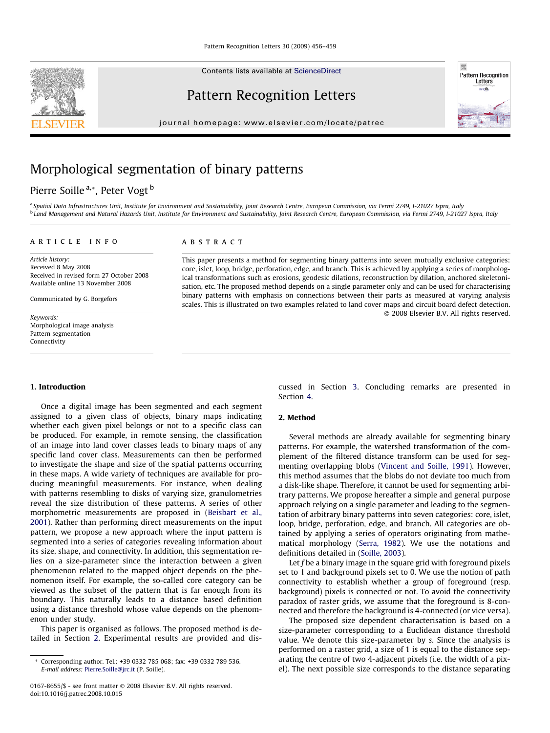Contents lists available at [ScienceDirect](http://www.sciencedirect.com/science/journal/01678655)

## Pattern Recognition Letters

journal homepage: [www.elsevier.com/locate/patrec](http://www.elsevier.com/locate/patrec)

# Morphological segmentation of binary patterns

### Pierre Soille<sup>a,\*</sup>, Peter Vogt<sup>b</sup>

<sup>a</sup> Spatial Data Infrastructures Unit, Institute for Environment and Sustainability, Joint Research Centre, European Commission, via Fermi 2749, I-21027 Ispra, Italy <sup>b</sup> Land Management and Natural Hazards Unit, Institute for Environment and Sustainability, Joint Research Centre, European Commission, via Fermi 2749, I-21027 Ispra, Italy

#### article info

#### **ABSTRACT**

Article history: Received 8 May 2008 Received in revised form 27 October 2008 Available online 13 November 2008

Communicated by G. Borgefors

Keywords: Morphological image analysis Pattern segmentation **Connectivity** 

This paper presents a method for segmenting binary patterns into seven mutually exclusive categories: core, islet, loop, bridge, perforation, edge, and branch. This is achieved by applying a series of morphological transformations such as erosions, geodesic dilations, reconstruction by dilation, anchored skeletonisation, etc. The proposed method depends on a single parameter only and can be used for characterising binary patterns with emphasis on connections between their parts as measured at varying analysis scales. This is illustrated on two examples related to land cover maps and circuit board defect detection. - 2008 Elsevier B.V. All rights reserved.

#### 1. Introduction

Once a digital image has been segmented and each segment assigned to a given class of objects, binary maps indicating whether each given pixel belongs or not to a specific class can be produced. For example, in remote sensing, the classification of an image into land cover classes leads to binary maps of any specific land cover class. Measurements can then be performed to investigate the shape and size of the spatial patterns occurring in these maps. A wide variety of techniques are available for producing meaningful measurements. For instance, when dealing with patterns resembling to disks of varying size, granulometries reveal the size distribution of these patterns. A series of other morphometric measurements are proposed in [\(Beisbart et al.,](#page-3-0) [2001\)](#page-3-0). Rather than performing direct measurements on the input pattern, we propose a new approach where the input pattern is segmented into a series of categories revealing information about its size, shape, and connectivity. In addition, this segmentation relies on a size-parameter since the interaction between a given phenomenon related to the mapped object depends on the phenomenon itself. For example, the so-called core category can be viewed as the subset of the pattern that is far enough from its boundary. This naturally leads to a distance based definition using a distance threshold whose value depends on the phenomenon under study.

This paper is organised as follows. The proposed method is detailed in Section 2. Experimental results are provided and discussed in Section [3.](#page-2-0) Concluding remarks are presented in Section [4](#page-3-0).

**Pattern Recognition** Letters

#### 2. Method

Several methods are already available for segmenting binary patterns. For example, the watershed transformation of the complement of the filtered distance transform can be used for segmenting overlapping blobs ([Vincent and Soille, 1991](#page-3-0)). However, this method assumes that the blobs do not deviate too much from a disk-like shape. Therefore, it cannot be used for segmenting arbitrary patterns. We propose hereafter a simple and general purpose approach relying on a single parameter and leading to the segmentation of arbitrary binary patterns into seven categories: core, islet, loop, bridge, perforation, edge, and branch. All categories are obtained by applying a series of operators originating from mathematical morphology ([Serra, 1982](#page-3-0)). We use the notations and definitions detailed in ([Soille, 2003\)](#page-3-0).

Let  $f$  be a binary image in the square grid with foreground pixels set to 1 and background pixels set to 0. We use the notion of path connectivity to establish whether a group of foreground (resp. background) pixels is connected or not. To avoid the connectivity paradox of raster grids, we assume that the foreground is 8-connected and therefore the background is 4-connected (or vice versa).

The proposed size dependent characterisation is based on a size-parameter corresponding to a Euclidean distance threshold value. We denote this size-parameter by s. Since the analysis is performed on a raster grid, a size of 1 is equal to the distance separating the centre of two 4-adjacent pixels (i.e. the width of a pixel). The next possible size corresponds to the distance separating



<sup>\*</sup> Corresponding author. Tel.: +39 0332 785 068; fax: +39 0332 789 536. E-mail address: [Pierre.Soille@jrc.it](mailto:Pierre.Soille@jrc.it) (P. Soille).

<sup>0167-8655/\$ -</sup> see front matter © 2008 Elsevier B.V. All rights reserved. doi:10.1016/j.patrec.2008.10.015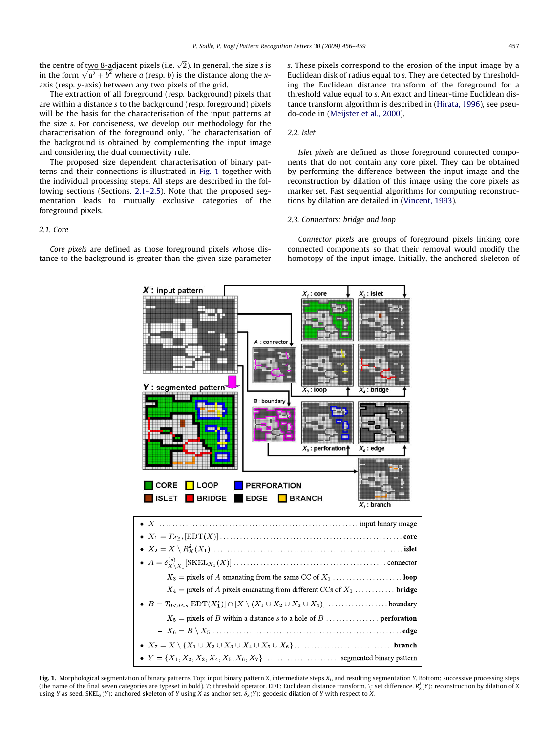the centre of t<u>wo 8-a</u>djacent pixels (i.e.  $\sqrt{2}$ ). In general, the size  $s$  is ine centre of two o-adjacent pixers (i.e.  $v_2$ ), in general, the size s is<br>in the form  $\sqrt{a^2 + b^2}$  where a (resp. b) is the distance along the xaxis (resp. y-axis) between any two pixels of the grid.

The extraction of all foreground (resp. background) pixels that are within a distance s to the background (resp. foreground) pixels will be the basis for the characterisation of the input patterns at the size s. For conciseness, we develop our methodology for the characterisation of the foreground only. The characterisation of the background is obtained by complementing the input image and considering the dual connectivity rule.

The proposed size dependent characterisation of binary patterns and their connections is illustrated in Fig. 1 together with the individual processing steps. All steps are described in the following sections (Sections. 2.1–2.5). Note that the proposed segmentation leads to mutually exclusive categories of the foreground pixels.

#### 2.1. Core

Core pixels are defined as those foreground pixels whose distance to the background is greater than the given size-parameter s. These pixels correspond to the erosion of the input image by a Euclidean disk of radius equal to s. They are detected by thresholding the Euclidean distance transform of the foreground for a threshold value equal to s. An exact and linear-time Euclidean distance transform algorithm is described in [\(Hirata, 1996\)](#page-3-0), see pseudo-code in ([Meijster et al., 2000](#page-3-0)).

#### 2.2. Islet

Islet pixels are defined as those foreground connected components that do not contain any core pixel. They can be obtained by performing the difference between the input image and the reconstruction by dilation of this image using the core pixels as marker set. Fast sequential algorithms for computing reconstructions by dilation are detailed in [\(Vincent, 1993\)](#page-3-0).

#### 2.3. Connectors: bridge and loop

Connector pixels are groups of foreground pixels linking core connected components so that their removal would modify the homotopy of the input image. Initially, the anchored skeleton of



Fig. 1. Morphological segmentation of binary patterns. Top: input binary pattern X, intermediate steps  $X_i$ , and resulting segmentation Y. Bottom: successive processing steps (the name of the final seven categories are typeset in bold). T: threshold operator. EDT: Euclidean distance transform. \: set difference.  $R^{\delta}_X(Y)$ : reconstruction by dilation of X using Y as seed. SKEL<sub>X</sub>(Y): anchored skeleton of Y using X as anchor set.  $\delta_X(Y)$ : geodesic dilation of Y with respect to X.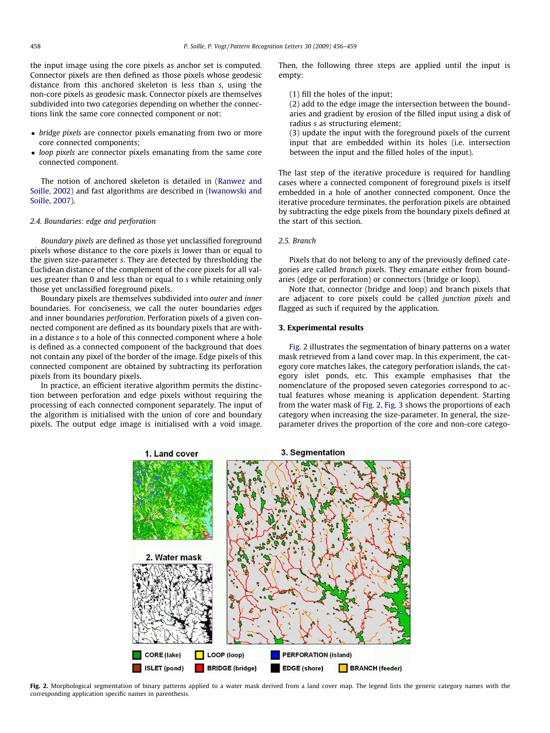<span id="page-2-0"></span>the input image using the core pixels as anchor set is computed. Connector pixels are then defined as those pixels whose geodesic distance from this anchored skeleton is less than s, using the non-core pixels as geodesic mask. Connector pixels are themselves subdivided into two categories depending on whether the connections link the same core connected component or not:

- bridge pixels are connector pixels emanating from two or more core connected components;
- loop pixels are connector pixels emanating from the same core connected component.

The notion of anchored skeleton is detailed in [\(Ranwez and](#page-3-0) [Soille, 2002\)](#page-3-0) and fast algorithms are described in [\(Iwanowski and](#page-3-0) [Soille, 2007\)](#page-3-0).

#### 2.4. Boundaries: edge and perforation

Boundary pixels are defined as those yet unclassified foreground pixels whose distance to the core pixels is lower than or equal to the given size-parameter s. They are detected by thresholding the Euclidean distance of the complement of the core pixels for all values greater than 0 and less than or equal to s while retaining only those yet unclassified foreground pixels.

Boundary pixels are themselves subdivided into outer and inner boundaries. For conciseness, we call the outer boundaries edges and inner boundaries perforation. Perforation pixels of a given connected component are defined as its boundary pixels that are within a distance s to a hole of this connected component where a hole is defined as a connected component of the background that does not contain any pixel of the border of the image. Edge pixels of this connected component are obtained by subtracting its perforation pixels from its boundary pixels.

In practice, an efficient iterative algorithm permits the distinction between perforation and edge pixels without requiring the processing of each connected component separately. The input of the algorithm is initialised with the union of core and boundary pixels. The output edge image is initialised with a void image. Then, the following three steps are applied until the input is empty:

(1) fill the holes of the input;

(2) add to the edge image the intersection between the boundaries and gradient by erosion of the filled input using a disk of radius s as structuring element;

(3) update the input with the foreground pixels of the current input that are embedded within its holes (i.e. intersection between the input and the filled holes of the input).

The last step of the iterative procedure is required for handling cases where a connected component of foreground pixels is itself embedded in a hole of another connected component. Once the iterative procedure terminates, the perforation pixels are obtained by subtracting the edge pixels from the boundary pixels defined at the start of this section.

#### 2.5. Branch

Pixels that do not belong to any of the previously defined categories are called branch pixels. They emanate either from boundaries (edge or perforation) or connectors (bridge or loop).

Note that, connector (bridge and loop) and branch pixels that are adjacent to core pixels could be called junction pixels and flagged as such if required by the application.

#### 3. Experimental results

Fig. 2 illustrates the segmentation of binary patterns on a water mask retrieved from a land cover map. In this experiment, the category core matches lakes, the category perforation islands, the category islet ponds, etc. This example emphasises that the nomenclature of the proposed seven categories correspond to actual features whose meaning is application dependent. Starting from the water mask of Fig. 2, [Fig. 3](#page-3-0) shows the proportions of each category when increasing the size-parameter. In general, the sizeparameter drives the proportion of the core and non-core catego-



Fig. 2. Morphological segmentation of binary patterns applied to a water mask derived from a land cover map. The legend lists the generic category names with the corresponding application specific names in parenthesis.